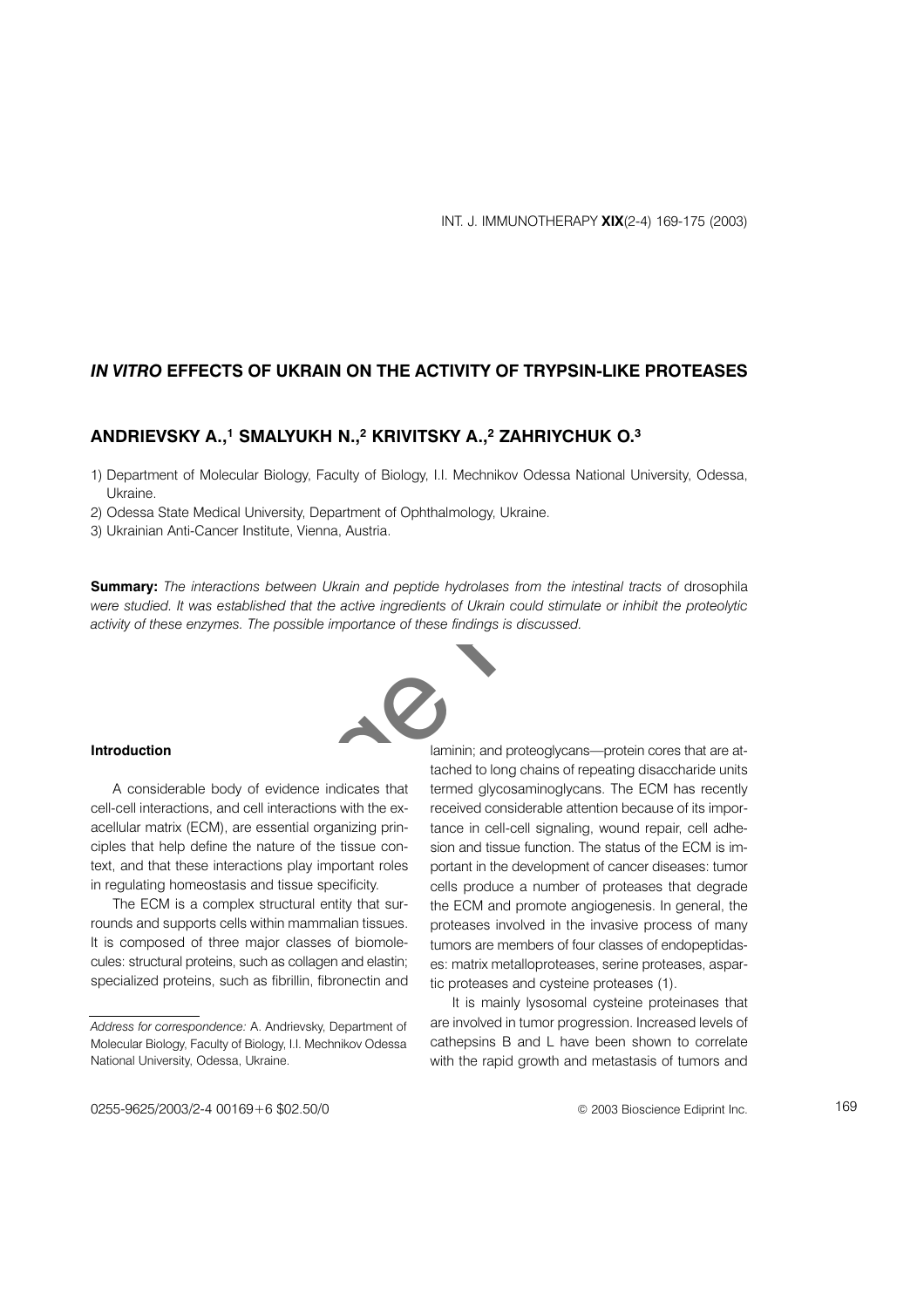## IN VITRO EFFECTS OF UKRAIN ON THE ACTIVITY OF TRYPSIN-LIKE PROTEASES

# ANDRIEVSKY A.,<sup>1</sup> SMALYUKH N.,<sup>2</sup> KRIVITSKY A.,<sup>2</sup> ZAHRIYCHUK O.<sup>3</sup>

- 1) Department of Molecular Biology, Faculty of Biology, I.I. Mechnikov Odessa National University, Odessa, Ukraine.
- 2) Odessa State Medical University, Department of Ophthalmology, Ukraine.
- 3) Ukrainian Anti-Cancer Institute, Vienna, Austria.

Summary: The interactions between Ukrain and peptide hydrolases from the intestinal tracts of drosophila were studied. It was established that the active ingredients of Ukrain could stimulate or inhibit the proteolytic activity of these enzymes. The possible importance of these findings is discussed.



#### Introduction

A considerable body of evidence indicates that cell-cell interactions, and cell interactions with the exacellular matrix (ECM), are essential organizing principles that help define the nature of the tissue context, and that these interactions play important roles in regulating homeostasis and tissue specificity.

The ECM is a complex structural entity that surrounds and supports cells within mammalian tissues. It is composed of three major classes of biomolecules: structural proteins, such as collagen and elastin; specialized proteins, such as fibrillin, fibronectin and

laminin; and proteoglycans-protein cores that are attached to long chains of repeating disaccharide units termed glycosaminoglycans. The ECM has recently received considerable attention because of its importance in cell-cell signaling, wound repair, cell adhesion and tissue function. The status of the ECM is important in the development of cancer diseases: tumor cells produce a number of proteases that degrade the ECM and promote angiogenesis. In general, the proteases involved in the invasive process of many tumors are members of four classes of endopeptidases: matrix metalloproteases, serine proteases, aspartic proteases and cysteine proteases (1).

It is mainly lysosomal cysteine proteinases that are involved in tumor progression. Increased levels of cathepsins B and L have been shown to correlate with the rapid growth and metastasis of tumors and

Address for correspondence: A. Andrievsky, Department of Molecular Biology, Faculty of Biology, I.I. Mechnikov Odessa National University, Odessa, Ukraine.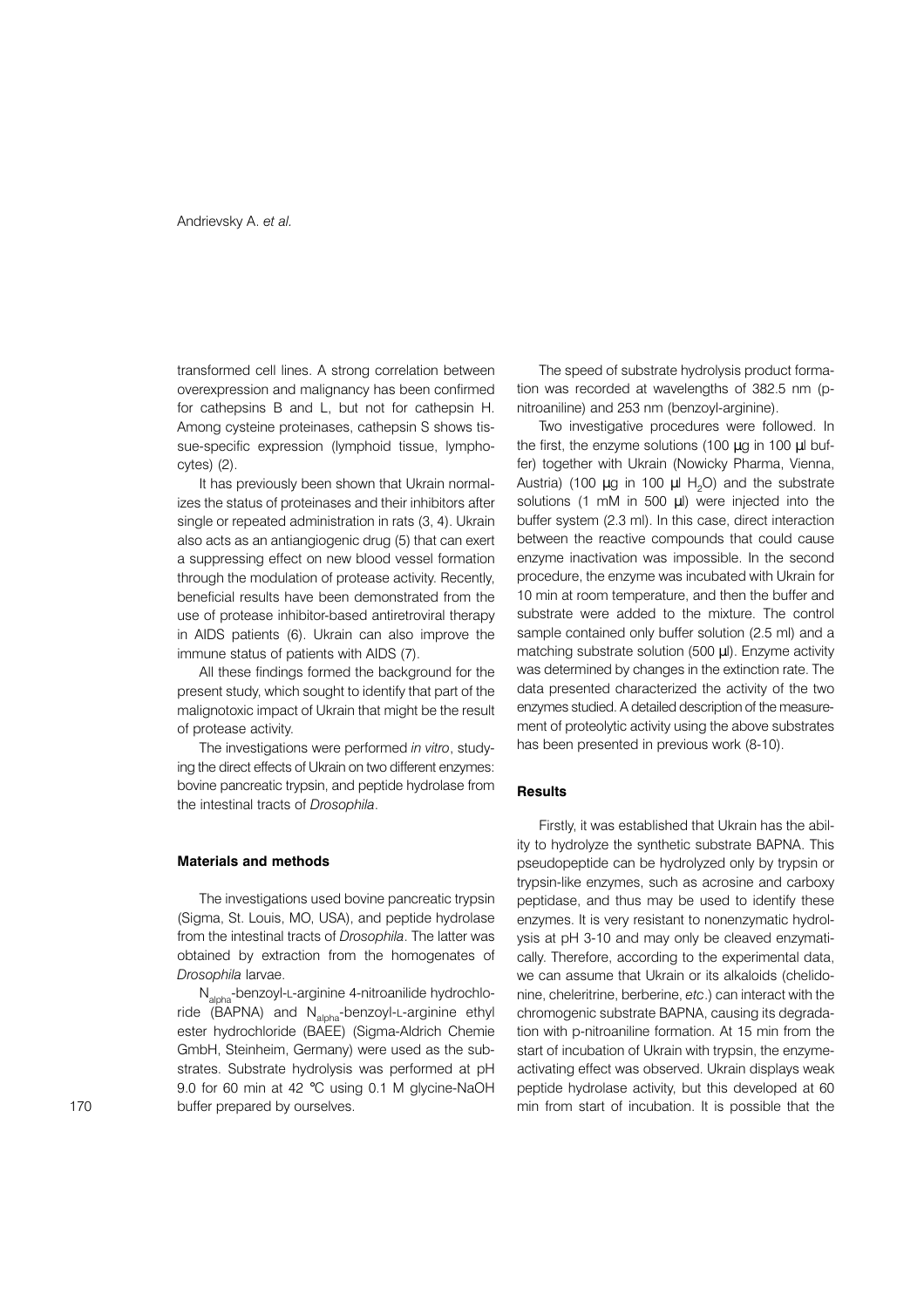transformed cell lines. A strong correlation between overexpression and malignancy has been confirmed for cathepsins B and L, but not for cathepsin H. Among cysteine proteinases, cathepsin S shows tissue-specific expression (lymphoid tissue, lympho $cytes(2)$ .

It has previously been shown that Ukrain normalizes the status of proteinases and their inhibitors after single or repeated administration in rats (3, 4). Ukrain also acts as an antiangiogenic drug (5) that can exert a suppressing effect on new blood vessel formation through the modulation of protease activity. Recently, beneficial results have been demonstrated from the use of protease inhibitor-based antiretroviral therapy in AIDS patients (6). Ukrain can also improve the immune status of patients with AIDS (7).

All these findings formed the background for the present study, which sought to identify that part of the malignotoxic impact of Ukrain that might be the result of protease activity.

The investigations were performed in vitro, studying the direct effects of Ukrain on two different enzymes: bovine pancreatic trypsin, and peptide hydrolase from the intestinal tracts of Drosophila.

#### **Materials and methods**

The investigations used bovine pancreatic trypsin (Sigma, St. Louis, MO, USA), and peptide hydrolase from the intestinal tracts of Drosophila. The latter was obtained by extraction from the homogenates of Drosophila larvae.

N<sub>alpha</sub>-benzoyl-L-arginine 4-nitroanilide hydrochloride (BAPNA) and N<sub>alpha</sub>-benzoyl-L-arginine ethyl ester hydrochloride (BAEE) (Sigma-Aldrich Chemie GmbH, Steinheim, Germany) were used as the substrates. Substrate hydrolysis was performed at pH 9.0 for 60 min at 42 °C using 0.1 M glycine-NaOH buffer prepared by ourselves.

The speed of substrate hydrolysis product formation was recorded at wavelengths of 382.5 nm (pnitroaniline) and 253 nm (benzoyl-arginine).

Two investigative procedures were followed. In the first, the enzyme solutions (100  $\mu$ g in 100  $\mu$ l buffer) together with Ukrain (Nowicky Pharma, Vienna, Austria) (100  $\mu$ g in 100  $\mu$ l H<sub>2</sub>O) and the substrate solutions (1 mM in 500 µl) were injected into the buffer system (2.3 ml). In this case, direct interaction between the reactive compounds that could cause enzyme inactivation was impossible. In the second procedure, the enzyme was incubated with Ukrain for 10 min at room temperature, and then the buffer and substrate were added to the mixture. The control sample contained only buffer solution (2.5 ml) and a matching substrate solution (500  $\mu$ I). Enzyme activity was determined by changes in the extinction rate. The data presented characterized the activity of the two enzymes studied. A detailed description of the measurement of proteolytic activity using the above substrates has been presented in previous work (8-10).

## **Results**

Firstly, it was established that Ukrain has the ability to hydrolyze the synthetic substrate BAPNA. This pseudopeptide can be hydrolyzed only by trypsin or trypsin-like enzymes, such as acrosine and carboxy peptidase, and thus may be used to identify these enzymes. It is very resistant to nonenzymatic hydrolysis at pH 3-10 and may only be cleaved enzymatically. Therefore, according to the experimental data, we can assume that Ukrain or its alkaloids (chelidonine, cheleritrine, berberine, etc.) can interact with the chromogenic substrate BAPNA, causing its degradation with p-nitroaniline formation. At 15 min from the start of incubation of Ukrain with trypsin, the enzymeactivating effect was observed. Ukrain displays weak peptide hydrolase activity, but this developed at 60 min from start of incubation. It is possible that the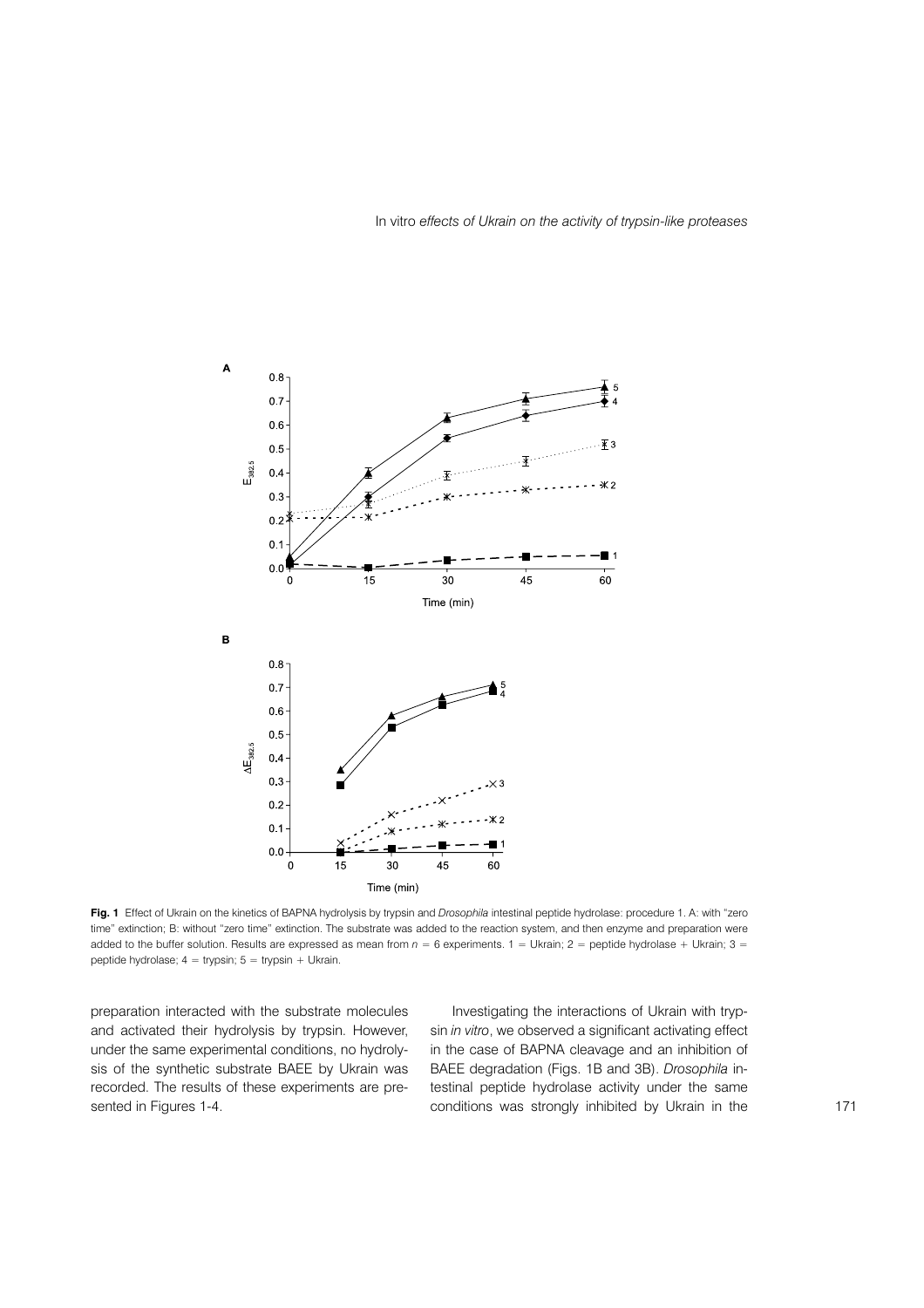

Fig. 1 Effect of Ukrain on the kinetics of BAPNA hydrolysis by trypsin and Drosophila intestinal peptide hydrolase: procedure 1. A: with "zero time" extinction; B: without "zero time" extinction. The substrate was added to the reaction system, and then enzyme and preparation were added to the buffer solution. Results are expressed as mean from  $n = 6$  experiments. 1 = Ukrain; 2 = peptide hydrolase + Ukrain; 3 = peptide hydrolase;  $4 =$  trypsin;  $5 =$  trypsin + Ukrain.

preparation interacted with the substrate molecules and activated their hydrolysis by trypsin. However, under the same experimental conditions, no hydrolysis of the synthetic substrate BAEE by Ukrain was recorded. The results of these experiments are presented in Figures 1-4.

Investigating the interactions of Ukrain with trypsin in vitro, we observed a significant activating effect in the case of BAPNA cleavage and an inhibition of BAEE degradation (Figs. 1B and 3B). Drosophila intestinal peptide hydrolase activity under the same conditions was strongly inhibited by Ukrain in the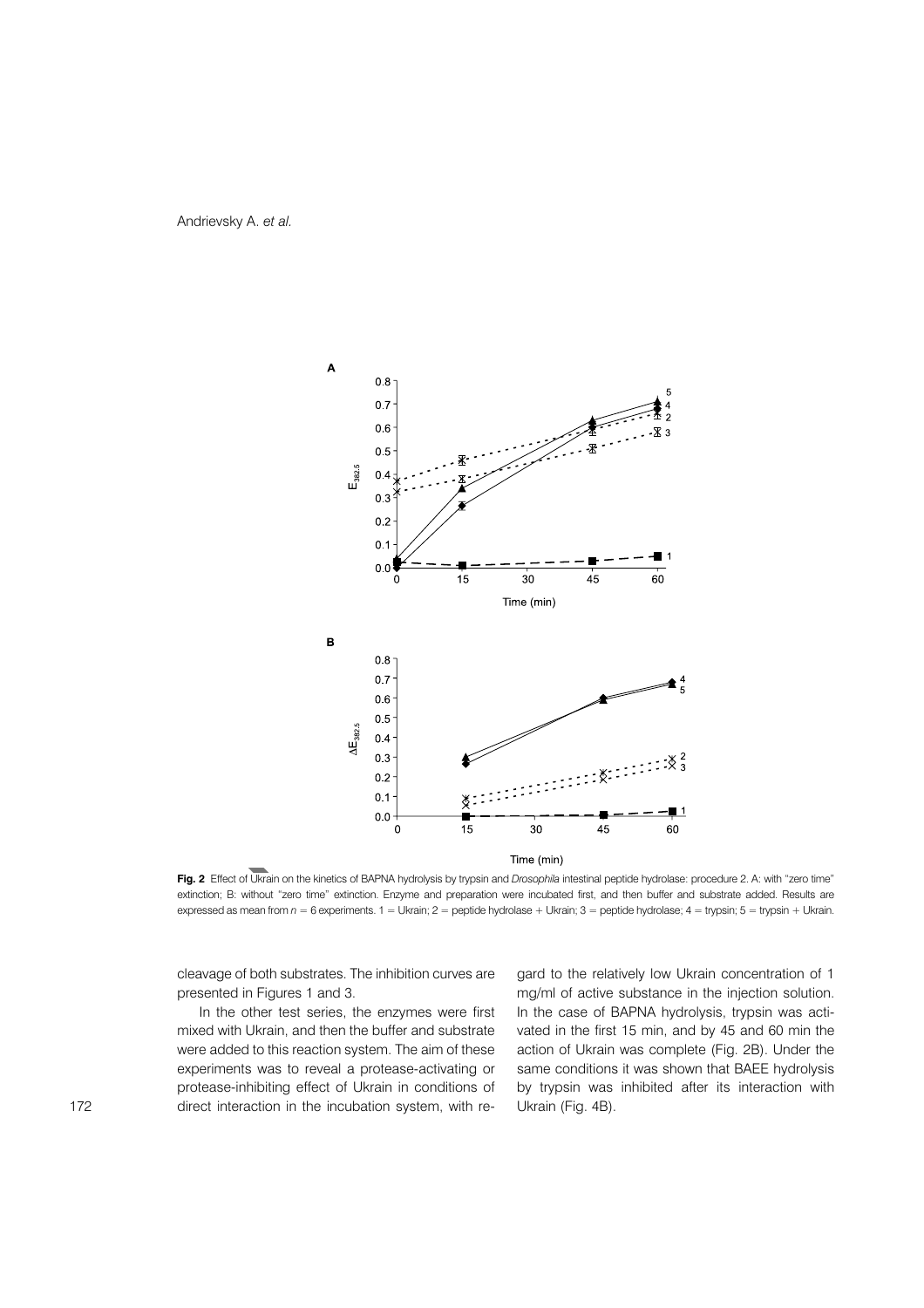Andrievsky A. et al.



Fig. 2 Effect of Ukrain on the kinetics of BAPNA hydrolysis by trypsin and Drosophila intestinal peptide hydrolase: procedure 2. A: with "zero time" extinction; B: without "zero time" extinction. Enzyme and preparation were incubated first, and then buffer and substrate added. Results are expressed as mean from  $n = 6$  experiments.  $1 =$  Ukrain;  $2 =$  peptide hydrolase + Ukrain;  $3 =$  peptide hydrolase;  $4 =$  trypsin;  $5 =$  trypsin + Ukrain.

cleavage of both substrates. The inhibition curves are presented in Figures 1 and 3.

In the other test series, the enzymes were first mixed with Ukrain, and then the buffer and substrate were added to this reaction system. The aim of these experiments was to reveal a protease-activating or protease-inhibiting effect of Ukrain in conditions of direct interaction in the incubation system, with regard to the relatively low Ukrain concentration of 1 mg/ml of active substance in the injection solution. In the case of BAPNA hydrolysis, trypsin was activated in the first 15 min, and by 45 and 60 min the action of Ukrain was complete (Fig. 2B). Under the same conditions it was shown that BAEE hydrolysis by trypsin was inhibited after its interaction with Ukrain (Fig. 4B).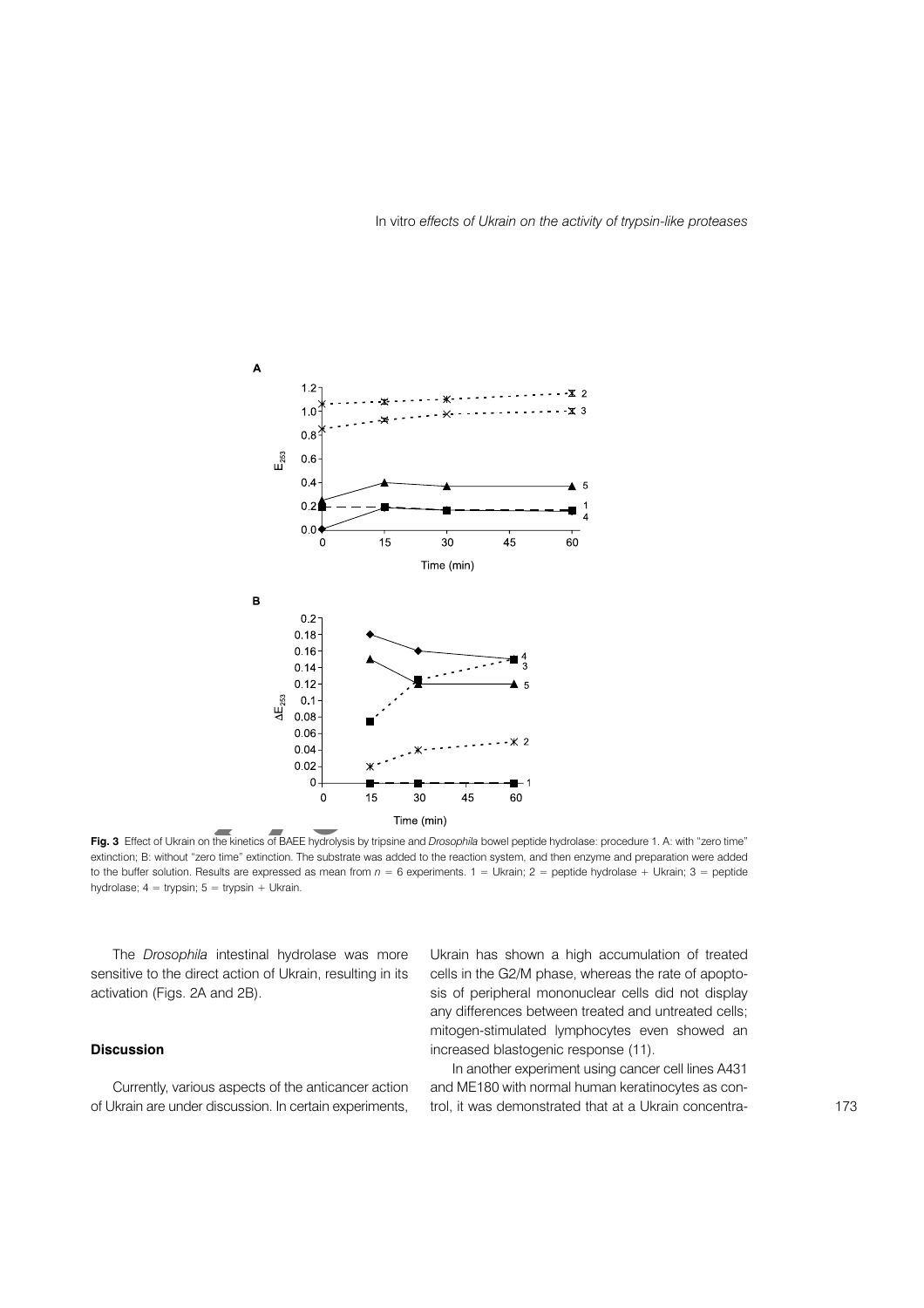

Fig. 3 Effect of Ukrain on the kinetics of BAEE hydrolysis by tripsine and Drosophila bowel peptide hydrolase: procedure 1. A: with "zero time" extinction; B: without "zero time" extinction. The substrate was added to the reaction system, and then enzyme and preparation were added to the buffer solution. Results are expressed as mean from  $n = 6$  experiments. 1 = Ukrain; 2 = peptide hydrolase + Ukrain; 3 = peptide hydrolase;  $4 = trypsin$ ;  $5 = trypsin + Ukrain$ .

The Drosophila intestinal hydrolase was more sensitive to the direct action of Ukrain, resulting in its activation (Figs. 2A and 2B).

### **Discussion**

Currently, various aspects of the anticancer action of Ukrain are under discussion. In certain experiments, Ukrain has shown a high accumulation of treated cells in the G2/M phase, whereas the rate of apoptosis of peripheral mononuclear cells did not display any differences between treated and untreated cells; mitogen-stimulated lymphocytes even showed an increased blastogenic response (11).

In another experiment using cancer cell lines A431 and ME180 with normal human keratinocytes as control, it was demonstrated that at a Ukrain concentra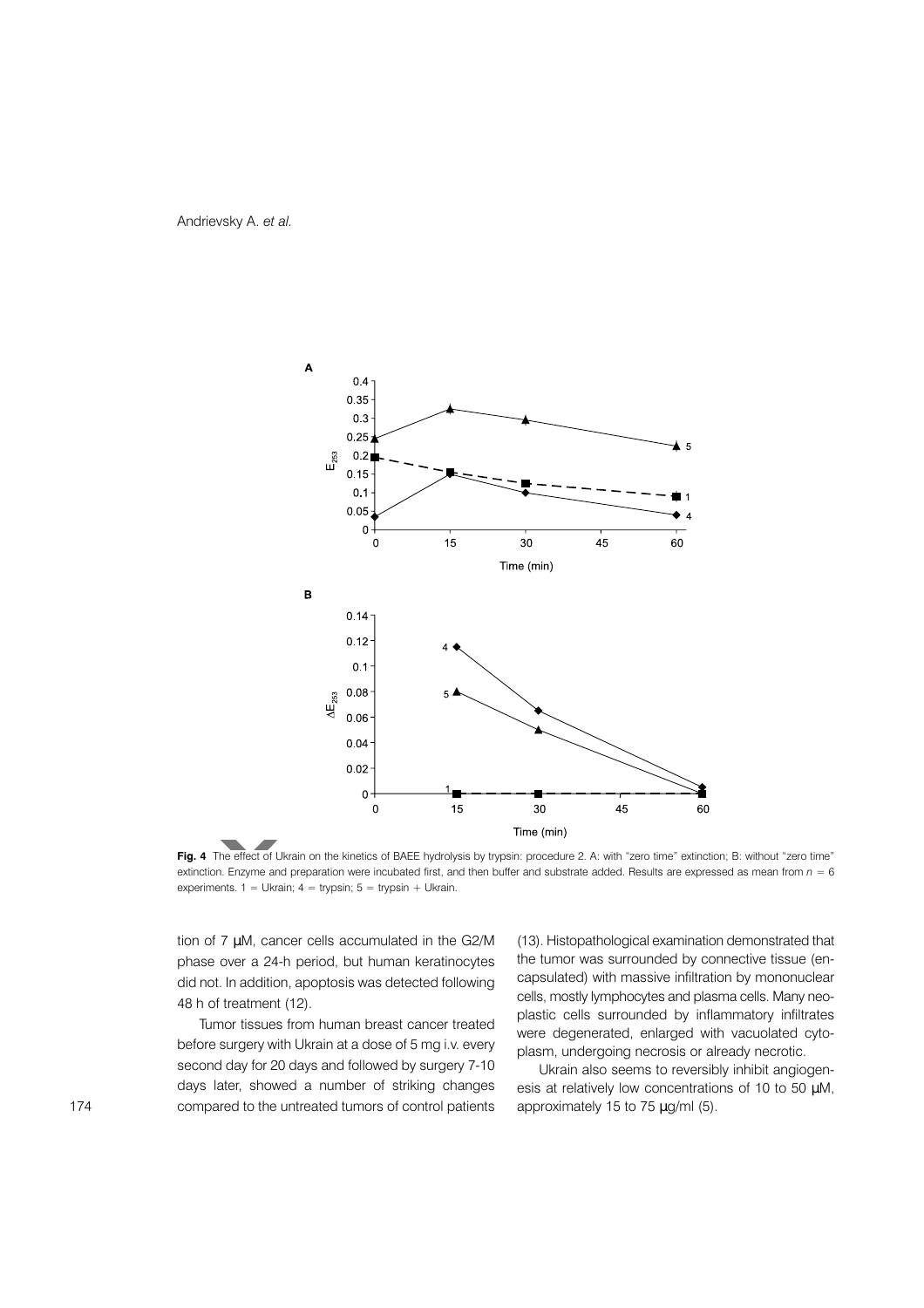Andrievsky A. et al.



Fig. 4 The effect of Ukrain on the kinetics of BAEE hydrolysis by trypsin: procedure 2. A: with "zero time" extinction; B: without "zero time" extinction. Enzyme and preparation were incubated first, and then buffer and substrate added. Results are expressed as mean from  $n = 6$ experiments.  $1 =$  Ukrain;  $4 =$  trypsin;  $5 =$  trypsin + Ukrain.

tion of 7 µM, cancer cells accumulated in the G2/M phase over a 24-h period, but human keratinocytes did not. In addition, apoptosis was detected following 48 h of treatment (12).

Tumor tissues from human breast cancer treated before surgery with Ukrain at a dose of 5 mg i.v. every second day for 20 days and followed by surgery 7-10 days later, showed a number of striking changes compared to the untreated tumors of control patients (13). Histopathological examination demonstrated that the tumor was surrounded by connective tissue (encapsulated) with massive infiltration by mononuclear cells, mostly lymphocytes and plasma cells. Many neoplastic cells surrounded by inflammatory infiltrates were degenerated, enlarged with vacuolated cytoplasm, undergoing necrosis or already necrotic.

Ukrain also seems to reversibly inhibit angiogenesis at relatively low concentrations of 10 to 50 µM, approximately 15 to 75 µg/ml (5).

174